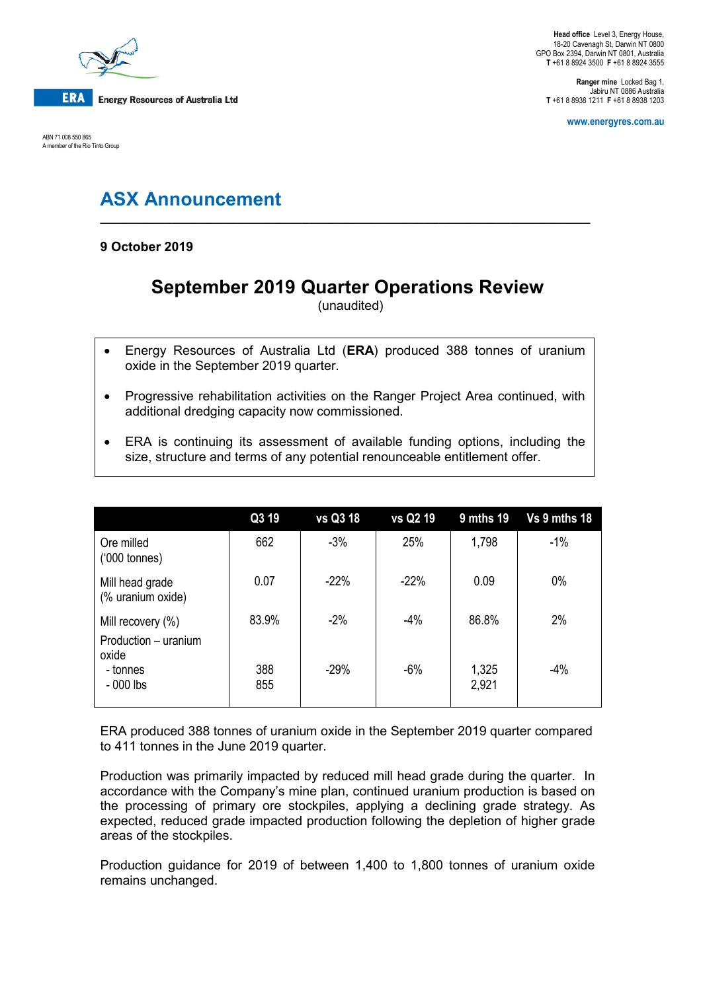

ABN 71 008 550 865 A member of the Rio Tinto Group

**Head office** Level 3, Energy House, 18-20 Cavenagh St, Darwin NT 0800 GPO Box 2394, Darwin NT 0801, Australia **T** +61 8 8924 3500 **F** +61 8 8924 3555

**Ranger mine** Locked Bag 1, Jabiru NT 0886 Australia **T** +61 8 8938 1211 **F** +61 8 8938 1203

**www.energyres.com.au**

# **ASX Announcement**

**9 October 2019**

# **September 2019 Quarter Operations Review**

**\_\_\_\_\_\_\_\_\_\_\_\_\_\_\_\_\_\_\_\_\_\_\_\_\_\_\_\_\_\_\_\_\_\_\_\_\_\_\_\_\_\_\_\_\_\_\_\_\_\_\_\_\_\_\_\_\_\_\_\_\_\_\_\_\_\_\_\_**

(unaudited)

- Energy Resources of Australia Ltd (**ERA**) produced 388 tonnes of uranium oxide in the September 2019 quarter.
- Progressive rehabilitation activities on the Ranger Project Area continued, with additional dredging capacity now commissioned.
- ERA is continuing its assessment of available funding options, including the size, structure and terms of any potential renounceable entitlement offer.

|                                                       | Q3 19      | vs Q3 18 | vs Q2 19 | 9 mths 19      | Vs 9 mths 18 |
|-------------------------------------------------------|------------|----------|----------|----------------|--------------|
| Ore milled<br>$(000 \text{ tonnes})$                  | 662        | $-3%$    | 25%      | 1,798          | $-1%$        |
| Mill head grade<br>(% uranium oxide)                  | 0.07       | $-22%$   | $-22%$   | 0.09           | $0\%$        |
| Mill recovery $(\%)$<br>Production - uranium<br>oxide | 83.9%      | $-2%$    | $-4%$    | 86.8%          | 2%           |
| - tonnes<br>$-000$ lbs                                | 388<br>855 | $-29%$   | $-6%$    | 1,325<br>2,921 | $-4%$        |

ERA produced 388 tonnes of uranium oxide in the September 2019 quarter compared to 411 tonnes in the June 2019 quarter.

Production was primarily impacted by reduced mill head grade during the quarter. In accordance with the Company's mine plan, continued uranium production is based on the processing of primary ore stockpiles, applying a declining grade strategy. As expected, reduced grade impacted production following the depletion of higher grade areas of the stockpiles.

Production guidance for 2019 of between 1,400 to 1,800 tonnes of uranium oxide remains unchanged.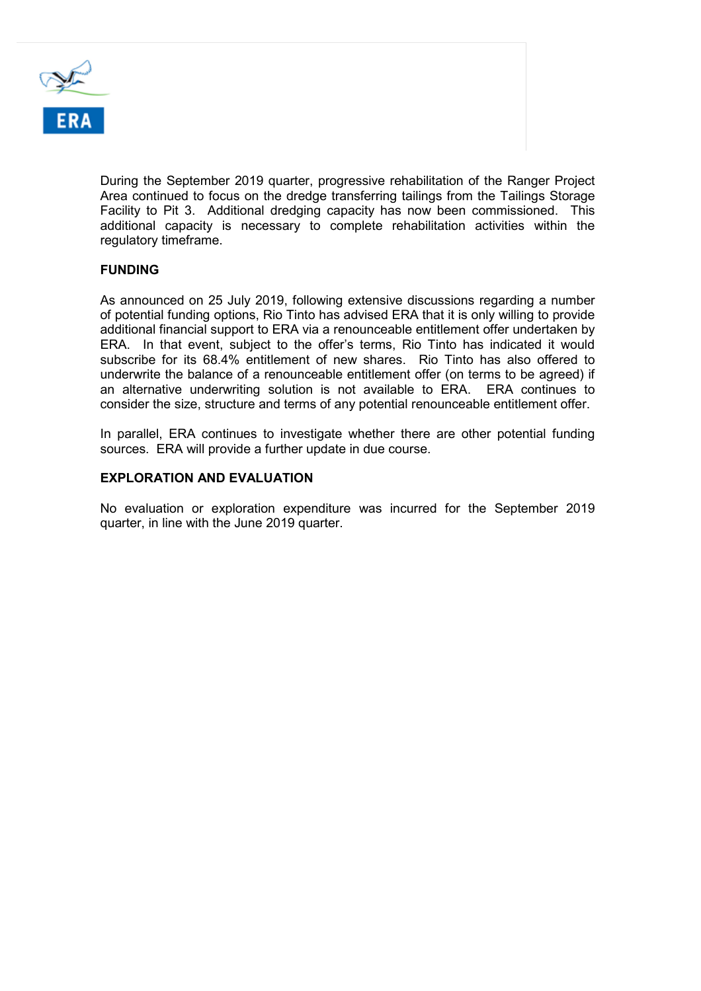

During the September 2019 quarter, progressive rehabilitation of the Ranger Project Area continued to focus on the dredge transferring tailings from the Tailings Storage Facility to Pit 3. Additional dredging capacity has now been commissioned. This additional capacity is necessary to complete rehabilitation activities within the regulatory timeframe.

## **FUNDING**

As announced on 25 July 2019, following extensive discussions regarding a number of potential funding options, Rio Tinto has advised ERA that it is only willing to provide additional financial support to ERA via a renounceable entitlement offer undertaken by ERA. In that event, subject to the offer's terms, Rio Tinto has indicated it would subscribe for its 68.4% entitlement of new shares. Rio Tinto has also offered to underwrite the balance of a renounceable entitlement offer (on terms to be agreed) if an alternative underwriting solution is not available to ERA. ERA continues to consider the size, structure and terms of any potential renounceable entitlement offer.

In parallel, ERA continues to investigate whether there are other potential funding sources. ERA will provide a further update in due course.

## **EXPLORATION AND EVALUATION**

No evaluation or exploration expenditure was incurred for the September 2019 quarter, in line with the June 2019 quarter.